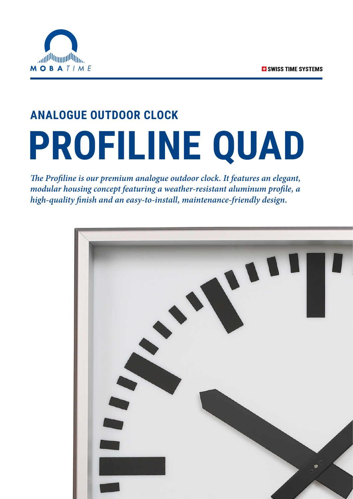

# **ANALOGUE OUTDOOR CLOCK PROFILINE QUAD**

*The Profiline is our premium analogue outdoor clock. It features an elegant, modular housing concept featuring a weather-resistant aluminum profile, a high-quality finish and an easy-to-install, maintenance-friendly design.*

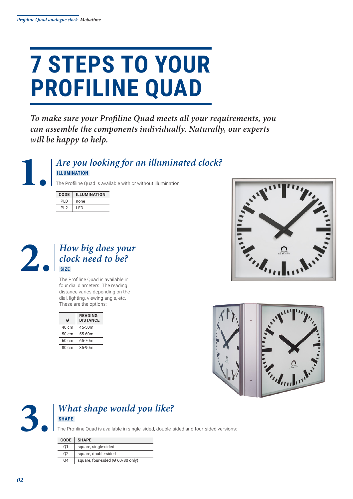### **7 STEPS TO YOUR PROFILINE QUAD**

*To make sure your Profiline Quad meets all your requirements, you can assemble the components individually. Naturally, our experts will be happy to help.*



#### **1.** *Are you looking for an illuminated clock?*  **ILLUMINATION**

The Profiline Quad is available with or without illumination:

| <b>CODE</b>     | <b>ILLUMINATION</b> |
|-----------------|---------------------|
| PI 0            | none                |
| PI <sub>2</sub> | I FD                |



The Profiline Quad is available in four dial diameters. The reading distance varies depending on the dial, lighting, viewing angle, etc. These are the options:

| <b>DISTANCE</b> |
|-----------------|
|                 |
|                 |
|                 |
|                 |
|                 |







#### **3.** *What shape would you like?*  **SHAPE**

The Profiline Quad is available in single-sided, double-sided and four-sided versions:

| <b>CODE</b> | <b>SHAPE</b>                      |
|-------------|-----------------------------------|
| 01          | square, single-sided              |
| 02          | square, double-sided              |
| 04          | square, four-sided (Ø 60/80 only) |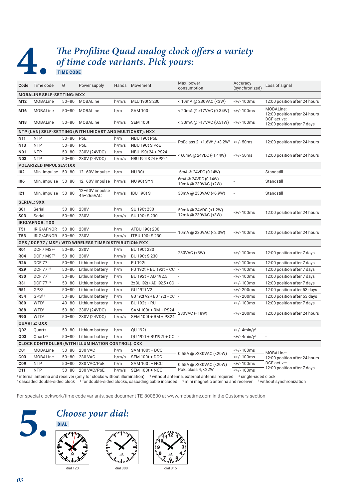**TIME CODE** 

### **4. Profiline Quad analog clock offers a variety** of time code variants. Pick yours: *of time code variants. Pick yours:*

|                                                          | Code Time code                                                    | Ø         | Power supply                                             |           | Hands Movement             | Max. power<br>consumption                                     | Accuracy<br>(synchronized)           | Loss of signal                             |  |  |  |
|----------------------------------------------------------|-------------------------------------------------------------------|-----------|----------------------------------------------------------|-----------|----------------------------|---------------------------------------------------------------|--------------------------------------|--------------------------------------------|--|--|--|
| <b>MOBALINE SELF-SETTING: MXX</b>                        |                                                                   |           |                                                          |           |                            |                                                               |                                      |                                            |  |  |  |
| M12                                                      | <b>MOBALine</b>                                                   | $50 - 80$ | <b>MOBALine</b>                                          | h/m/s     | MLU 190t S 230             | < 10mA @ 230VAC (<3W)                                         | <+/-100ms                            | 12:00 position after 24 hours              |  |  |  |
| M16                                                      | <b>MOBALine</b>                                                   | $50 - 80$ | <b>MOBALine</b>                                          | h/m       | <b>SAM 100t</b>            | < 20mA @ >17VAC (0.34W)                                       | <+/-100ms                            | MOBALine:<br>12:00 position after 24 hours |  |  |  |
| M18                                                      | <b>MOBALine</b>                                                   | $50 - 80$ | <b>MOBALine</b>                                          | h/m/s     | <b>SEM 100t</b>            | < 30 m A @ > 17 V A C (0.51 W)                                | <+/-100ms                            | DCF active:<br>12:00 position after 7 days |  |  |  |
|                                                          |                                                                   |           | NTP (LAN) SELF-SETTING (WITH UNICAST AND MULTICAST): NXX |           |                            |                                                               |                                      |                                            |  |  |  |
| N11                                                      | <b>NTP</b>                                                        | $50 - 80$ | PoE                                                      | h/m       | NBU 190t PoE               | PoEclass 2: <1.6W <sup>3</sup> / <3.2W <sup>4</sup> <+/- 50ms |                                      | 12:00 position after 24 hours              |  |  |  |
| N <sub>13</sub>                                          | <b>NTP</b>                                                        | $50 - 80$ | PoE                                                      | h/m/s     | NBU 190t S PoE             |                                                               |                                      |                                            |  |  |  |
| <b>N01</b>                                               | <b>NTP</b>                                                        | $50 - 80$ | 230V (24VDC)                                             | h/m       | NBU 190t 24 + PS24         |                                                               |                                      |                                            |  |  |  |
| <b>N03</b>                                               | <b>NTP</b>                                                        | $50 - 80$ | 230V (24VDC)                                             | h/m/s     | NBU 190t S 24 + PS24       | < 60mA @ 24VDC (<1.44W)                                       | $<$ +/-50ms                          | 12:00 position after 24 hours              |  |  |  |
|                                                          | POLARIZED IMPULSES: IXX                                           |           |                                                          |           |                            |                                                               |                                      |                                            |  |  |  |
| 102                                                      | Min. impulse                                                      | $50 - 80$ | 12-60V impulse                                           | h/m       | <b>NU 90t</b>              | -6mA @ 24VDC (0.14W)                                          |                                      | Standstill                                 |  |  |  |
| 106                                                      | Min. impulse 50-80                                                |           | 12-60V impulse                                           | h/m/s     | NU 90t SYN                 | 6mA @ 24VDC (0.14W)<br>10mA @ 230VAC (<2W)                    |                                      | Standstill                                 |  |  |  |
| 121                                                      | Min. impulse 50-80                                                |           | 12-60V impulse<br>45-265VAC                              | h/m/s     | <b>IBU 190t S</b>          | 30mA @ 230VAC (<6.9W)                                         |                                      | Standstill                                 |  |  |  |
|                                                          | <b>SERIAL: SXX</b>                                                |           |                                                          |           |                            |                                                               |                                      |                                            |  |  |  |
| <b>S01</b>                                               | Serial                                                            | $50 - 80$ | 230V                                                     | h/m       | SU 190t 230                | 50mA @ 24VDC (<1.2W)                                          |                                      |                                            |  |  |  |
| <b>S03</b>                                               | Serial                                                            | $50 - 80$ | 230V                                                     | h/m/s     | SU 190t S 230              | 12mA @ 230VAC (<3W)                                           | <+/-100ms                            | 12:00 position after 24 hours              |  |  |  |
| <b>IRIG/AFNOR: TXX</b>                                   |                                                                   |           |                                                          |           |                            |                                                               |                                      |                                            |  |  |  |
| T51                                                      | IRIG/AFNOR                                                        | $50 - 80$ | 230V                                                     | h/m       | ATBU 190t 230              |                                                               |                                      |                                            |  |  |  |
| T53                                                      | IRIG/AFNOR                                                        | $50 - 80$ | 230V                                                     | h/m/s     | <b>ITBU 190t S 230</b>     | 10mA @ 230VAC (<2.3W)                                         | <+/-100ms                            | 12:00 position after 24 hours              |  |  |  |
| GPS / DCF 77 / MSF / WTD WIRELESS TIME DISTRIBUTION: RXX |                                                                   |           |                                                          |           |                            |                                                               |                                      |                                            |  |  |  |
| <b>R01</b>                                               | DCF / MSF <sup>2</sup><br>$50 - 80$<br>230V<br>h/m<br>BU 190t 230 |           |                                                          | <+/-100ms |                            |                                                               |                                      |                                            |  |  |  |
| <b>R04</b>                                               | DCF / MSF <sup>2</sup>                                            | $50 - 80$ | 230V                                                     | h/m/s     | BU 190t S 230              | 230VAC (<3W)                                                  |                                      | 12:00 position after 7 days                |  |  |  |
| <b>R26</b>                                               | DCF 771                                                           | $50 - 80$ | Lithium battery                                          | h/m       | <b>FU 192t</b>             | $\overline{a}$                                                | <+/- 100ms                           | 12:00 position after 7 days                |  |  |  |
| R29                                                      | DCF 771,5                                                         | $50 - 80$ | Lithium battery                                          | h/m       | FU 192t + BU 192t + CC     | $\overline{\phantom{a}}$                                      | <+/-100ms                            | 12:00 position after 7 days                |  |  |  |
| R30                                                      | DCF 771                                                           | $50 - 80$ | Lithium battery                                          | h/m       | BU 192t + AD 192.5         | $\overline{\phantom{a}}$                                      | <+/-100ms                            | 12:00 position after 7 days                |  |  |  |
| <b>R31</b>                                               | DCF 771,5                                                         | $50 - 80$ | Lithium battery                                          | h/m       | 2x BU 192t + AD 192.5 + CC | $\overline{\phantom{a}}$                                      | <+/-100ms                            | 12:00 position after 7 days                |  |  |  |
| <b>R51</b>                                               | GPS <sup>6</sup>                                                  | $50 - 80$ | Lithium battery                                          | h/m       | GU 192t V2                 |                                                               | <+/- 200ms                           | 12:00 position after 53 days               |  |  |  |
| <b>R54</b>                                               | GPS <sup>56</sup>                                                 | $50 - 80$ | Lithium battery                                          | h/m       | GU 192t V2 + BU 192t + CC  | $\overline{\phantom{a}}$                                      | <+/- 200ms                           | 12:00 position after 53 days               |  |  |  |
| <b>R80</b>                                               | WTD <sup>1</sup>                                                  | $40 - 80$ | Lithium battery                                          | h/m       | <b>BU 192t + RU</b>        |                                                               | <+/-100ms                            | 12:00 position after 7 days                |  |  |  |
| <b>R88</b>                                               | WTD <sup>1</sup>                                                  | $50 - 80$ | 230V (24VDC)                                             | h/m       | SAM 100t + RM + PS24       |                                                               |                                      |                                            |  |  |  |
| <b>R90</b>                                               | WTD <sup>1</sup>                                                  | $50 - 80$ | 230V (24VDC)                                             | h/m/s     | SEM 100t + RM + PS24       | 230VAC (<18W)                                                 | <+/- 200ms                           | 12:00 position after 24 hours              |  |  |  |
|                                                          | <b>QUARTZ: QXX</b>                                                |           |                                                          |           |                            |                                                               |                                      |                                            |  |  |  |
| Q02                                                      | Quartz                                                            | $50 - 80$ | Lithium battery                                          | h/m       | QU 192t                    | $\overline{\phantom{a}}$                                      | $\leftarrow +/-$ 4min/y <sup>7</sup> | $\overline{\phantom{a}}$                   |  |  |  |
| Q03                                                      | Ouartz <sup>5</sup>                                               | $50 - 80$ | Lithium battery                                          | h/m       | QU 192t + BU192t + CC -    |                                                               | $\leftarrow +/-$ 4min/y <sup>7</sup> |                                            |  |  |  |
|                                                          |                                                                   |           | <b>CLOCK CONTROLLER (WITH ILLUMINATION CONTROL): CXX</b> |           |                            |                                                               |                                      |                                            |  |  |  |
| C01                                                      | <b>MOBALine</b>                                                   | $50 - 80$ | <b>230 VAC</b>                                           | h/m       | <b>SAM 100t + DCC</b>      |                                                               | <+/-100ms                            | MOBALine:                                  |  |  |  |
| C <sub>03</sub>                                          | <b>MOBALine</b>                                                   | $50 - 80$ | <b>230 VAC</b>                                           | h/m/s     | SEM 100t + DCC             | $0.55A$ @ >230VAC (<20W)                                      | <+/-100ms                            | 12:00 position after 24 hours              |  |  |  |
| C <sub>09</sub>                                          | <b>NTP</b>                                                        | $50 - 80$ | 230 VAC/PoE                                              | h/m       | <b>SAM 100t + NCC</b>      | $0.55A$ @ >230VAC (<20W)                                      | <+/-100ms                            | DCF active:                                |  |  |  |
| C11                                                      | <b>NTP</b>                                                        | $50 - 80$ | 230 VAC/PoE                                              | h/m/s     | <b>SEM 100t + NCC</b>      | PoE, class 4, <22W                                            | <+/-100ms                            | 12:00 position after 7 days                |  |  |  |
|                                                          |                                                                   |           |                                                          |           |                            |                                                               |                                      |                                            |  |  |  |

<sup>1</sup> internal antenna and receiver (only for clocks without illumination) <sup>2</sup> without antenna, external antenna required <sup>3</sup> single-sided clock<br><sup>4</sup> cascaded double-sided clock <sup>5</sup> for double-sided clocks, cascading cable in

For special clockwork/time code variants, see document TE-800800 at www.mobatime.com in the Customers section



#### **5.** *Choose your dial:*  **DIAL**





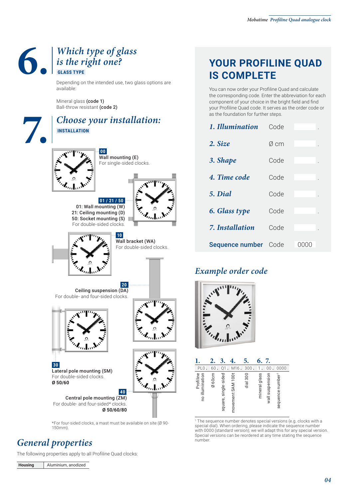### **6. 6.** *Which type of glass is the right one?*<br>**6.** *GLASS TYPE is the right one?*  **GLASS TYPE**

Depending on the intended use, two glass options are available:

Mineral glass (code 1) Ball-throw resistant (code 2)

#### **7.** *Choose your installation:*  **INSTALLATION**

**01 / 21 / 50** 



**00** Wall mounting (E) For single-sided clocks.





**10** Wall bracket (WA) For double-sided clocks.

**20**  Ceiling suspension (DA) For double- and four-sided clocks.



Lateral pole mounting (SM) For double-sided clocks.



**40** Central pole mounting (ZM) For double- and four-sided\* clocks. **Ø 50/60/80**

\*For four-sided clocks, a mast must be available on site (Ø 90- 150mm).

#### *General properties*

**30**

**Ø 50/60**

The following properties apply to all Profiline Quad clocks:

**Housing** Aluminium, anodized

#### **YOUR PROFILINE QUAD IS COMPLETE**

You can now order your Profiline Quad and calculate the corresponding code. Enter the abbreviation for each component of your choice in the bright field and find your Profiline Quad code. It serves as the order code or as the foundation for further steps.

| 1. Illumination      | Code |                 |  |
|----------------------|------|-----------------|--|
| 2. Size              | Ø cm |                 |  |
| 3. Shape             | Code |                 |  |
| 4. Time code         | Code |                 |  |
| 5. Dial              | Code |                 |  |
| 6. Glass type        | Code |                 |  |
| 7. Installation      | Code |                 |  |
| Sequence number Code |      | ( ) ( ) ( ) ( ) |  |

#### *Example order code*



|                              |       |                      |                   | 5.        | 6.            |                 |                 |
|------------------------------|-------|----------------------|-------------------|-----------|---------------|-----------------|-----------------|
| PL <sub>0</sub>              | 60    | Q1                   | M16               | 300       |               | 00              | 0000            |
| Profiline<br>no illumination | Ø60cm | square, single-sided | movement SAM 100t | $dia$ 300 | mineral glass | wall suspension | sequence number |

1 The sequence number denotes special versions (e.g. clocks with a special dial). When ordering, please indicate the sequence number with 0000 (standard version); we will adapt this for any special version. Special versions can be reordered at any time stating the sequence number.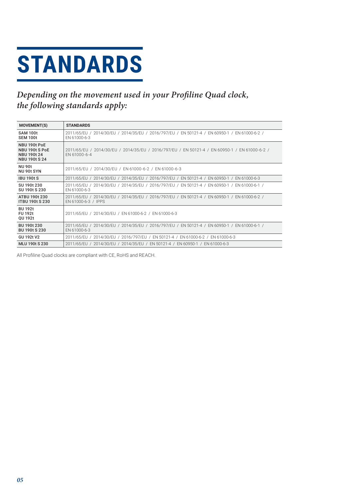# **STANDARDS**

#### Depending on the movement used in your Profiline Quad clock, the following standards apply:

| <b>MOVEMENT(S)</b>                                                           | <b>STANDARDS</b>                                                                                                     |
|------------------------------------------------------------------------------|----------------------------------------------------------------------------------------------------------------------|
| <b>SAM 100t</b><br>SEM 100t                                                  | 2011/65/EU / 2014/30/EU / 2014/35/EU / 2016/797/EU / EN 50121-4 / EN 60950-1 / EN 61000-6-2 /<br>EN 61000-6-3        |
| NBU 190t PoE<br>NBU 190t S PoE<br><b>NBU 190t 24</b><br><b>NBU 190t S 24</b> | 2011/65/EU / 2014/30/EU / 2014/35/EU / 2016/797/EU / EN 50121-4 / EN 60950-1 / EN 61000-6-2 /<br>EN 61000-6-4        |
| <b>NU 90t</b><br>NU 90t SYN                                                  | 2011/65/EU / 2014/30/EU / EN 61000-6-2 / EN 61000-6-3                                                                |
| <b>IBU 190t S</b>                                                            | 2011/65/EU / 2014/30/EU / 2014/35/EU / 2016/797/EU / EN 50121-4 / EN 60950-1 / EN 61000-6-3                          |
| SU 190t 230<br>SU 190t S 230                                                 | 2011/65/EU / 2014/30/EU / 2014/35/EU / 2016/797/EU / EN 50121-4 / EN 60950-1 / EN 61000-6-1 /<br>EN 61000-6-3        |
| ATBU 190t 230<br><b>ITBU 190t S 230</b>                                      | 2011/65/EU / 2014/30/EU / 2014/35/EU / 2016/797/EU / EN 50121-4 / EN 60950-1 / EN 61000-6-2 /<br>EN 61000-6-3 / IPPS |
| <b>BU 192t</b><br><b>FU 192t</b><br>OU 192t                                  | 2011/65/EU / 2014/30/EU / EN 61000-6-2 / EN 61000-6-3                                                                |
| BU 190t 230<br><b>BU 190t S 230</b>                                          | 2011/65/EU / 2014/30/EU / 2014/35/EU / 2016/797/EU / EN 50121-4 / EN 60950-1 / EN 61000-6-1 /<br>EN 61000-6-3        |
| GU 192t V2                                                                   | 2011/65/EU / 2014/30/EU / 2016/797/EU / EN 50121-4 / EN 61000-6-2 / EN 61000-6-3                                     |
| <b>MLU 190t S 230</b>                                                        | 2011/65/EU / 2014/30/EU / 2014/35/EU / EN 50121-4 / EN 60950-1 / EN 61000-6-3                                        |

All Profiline Quad clocks are compliant with CE, RoHS and REACH.